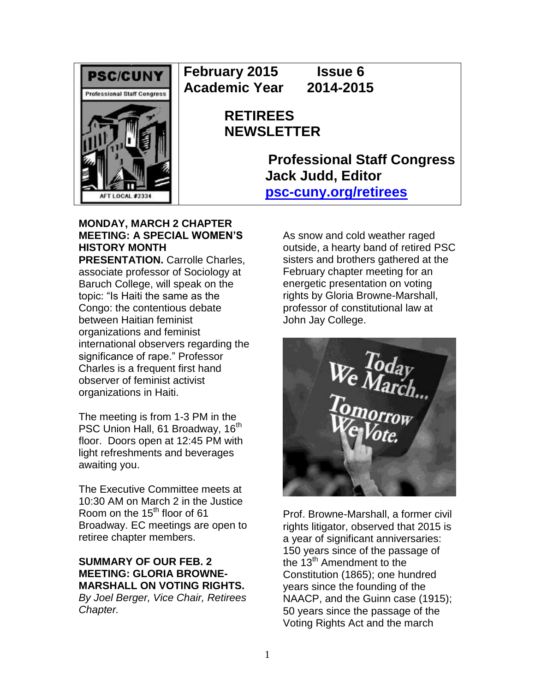

**February 2015 Issue 6 Academic Year 2014-2015**

> **RETIREES NEWSLETTER**

> > **Professional Staff Congress Jack Judd, Editor [psc-cuny.org/retirees](http://www.psc-cuny.org/retirees)**

### **MONDAY, MARCH 2 CHAPTER MEETING: A SPECIAL WOMEN'S HISTORY MONTH**

**PRESENTATION.** Carrolle Charles, associate professor of Sociology at Baruch College, will speak on the topic: "Is Haiti the same as the Congo: the contentious debate between Haitian feminist organizations and feminist international observers regarding the significance of rape." Professor Charles is a frequent first hand observer of feminist activist organizations in Haiti.

The meeting is from 1-3 PM in the PSC Union Hall, 61 Broadway, 16<sup>th</sup> floor. Doors open at 12:45 PM with light refreshments and beverages awaiting you.

The Executive Committee meets at 10:30 AM on March 2 in the Justice Room on the  $15<sup>th</sup>$  floor of 61 Broadway. EC meetings are open to retiree chapter members.

# **SUMMARY OF OUR FEB. 2 MEETING: GLORIA BROWNE-MARSHALL ON VOTING RIGHTS.**

*By Joel Berger, Vice Chair, Retirees Chapter.*

As snow and cold weather raged outside, a hearty band of retired PSC sisters and brothers gathered at the February chapter meeting for an energetic presentation on voting rights by Gloria Browne-Marshall, professor of constitutional law at John Jay College.



Prof. Browne-Marshall, a former civil rights litigator, observed that 2015 is a year of significant anniversaries: 150 years since of the passage of the 13<sup>th</sup> Amendment to the Constitution (1865); one hundred years since the founding of the NAACP, and the Guinn case (1915); 50 years since the passage of the Voting Rights Act and the march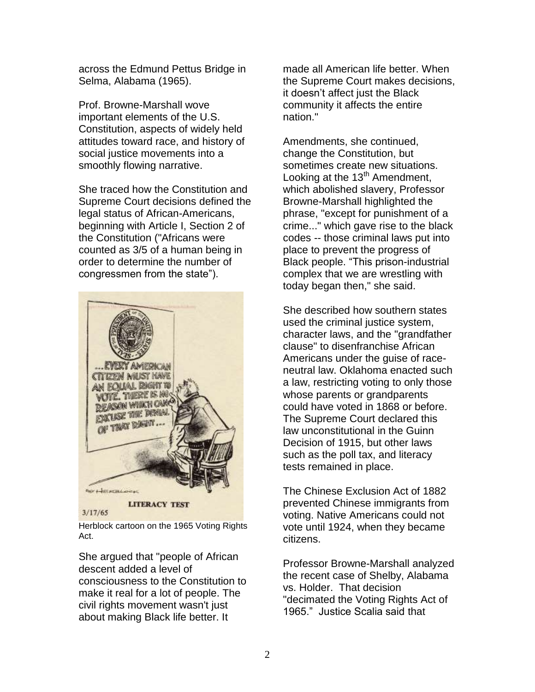across the Edmund Pettus Bridge in Selma, Alabama (1965).

Prof. Browne-Marshall wove important elements of the U.S. Constitution, aspects of widely held attitudes toward race, and history of social justice movements into a smoothly flowing narrative.

She traced how the Constitution and Supreme Court decisions defined the legal status of African-Americans, beginning with Article I, Section 2 of the Constitution ("Africans were counted as 3/5 of a human being in order to determine the number of congressmen from the state").



Herblock cartoon on the 1965 Voting Rights Act.

She argued that "people of African descent added a level of consciousness to the Constitution to make it real for a lot of people. The civil rights movement wasn't just about making Black life better. It

made all American life better. When the Supreme Court makes decisions, it doesn't affect just the Black community it affects the entire nation."

Amendments, she continued, change the Constitution, but sometimes create new situations. Looking at the  $13<sup>th</sup>$  Amendment, which abolished slavery, Professor Browne-Marshall highlighted the phrase, "except for punishment of a crime..." which gave rise to the black codes -- those criminal laws put into place to prevent the progress of Black people. "This prison-industrial complex that we are wrestling with today began then," she said.

She described how southern states used the criminal justice system, character laws, and the "grandfather clause" to disenfranchise African Americans under the guise of raceneutral law. Oklahoma enacted such a law, restricting voting to only those whose parents or grandparents could have voted in 1868 or before. The Supreme Court declared this law unconstitutional in the Guinn Decision of 1915, but other laws such as the poll tax, and literacy tests remained in place.

The Chinese Exclusion Act of 1882 prevented Chinese immigrants from voting. Native Americans could not vote until 1924, when they became citizens.

Professor Browne-Marshall analyzed the recent case of Shelby, Alabama vs. Holder. That decision "decimated the Voting Rights Act of 1965." Justice Scalia said that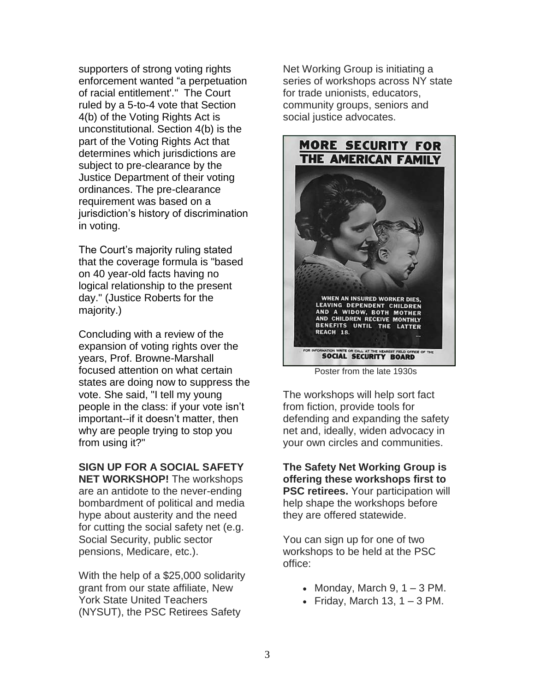supporters of strong voting rights enforcement wanted "a perpetuation of racial entitlement'." The Court ruled by a 5-to-4 vote that Section 4(b) of the Voting Rights Act is unconstitutional. Section 4(b) is the part of the Voting Rights Act that determines which jurisdictions are subject to pre-clearance by the Justice Department of their voting ordinances. The pre-clearance requirement was based on a jurisdiction's history of discrimination in voting.

The Court's majority ruling stated that the coverage formula is "based on 40 year-old facts having no logical relationship to the present day." (Justice Roberts for the majority.)

Concluding with a review of the expansion of voting rights over the years, Prof. Browne-Marshall focused attention on what certain states are doing now to suppress the vote. She said, "I tell my young people in the class: if your vote isn't important--if it doesn't matter, then why are people trying to stop you from using it?"

**SIGN UP FOR A SOCIAL SAFETY NET WORKSHOP!** The workshops are an antidote to the never-ending bombardment of political and media hype about austerity and the need for cutting the social safety net (e.g. Social Security, public sector pensions, Medicare, etc.).

With the help of a \$25,000 solidarity grant from our state affiliate, New York State United Teachers (NYSUT), the PSC Retirees Safety

Net Working Group is initiating a series of workshops across NY state for trade unionists, educators, community groups, seniors and social justice advocates.



Poster from the late 1930s

The workshops will help sort fact from fiction, provide tools for defending and expanding the safety net and, ideally, widen advocacy in your own circles and communities.

**The Safety Net Working Group is offering these workshops first to PSC retirees.** Your participation will help shape the workshops before they are offered statewide.

You can sign up for one of two workshops to be held at the PSC office:

- Monday, March  $9, 1 3$  PM.
- Friday, March 13,  $1 3$  PM.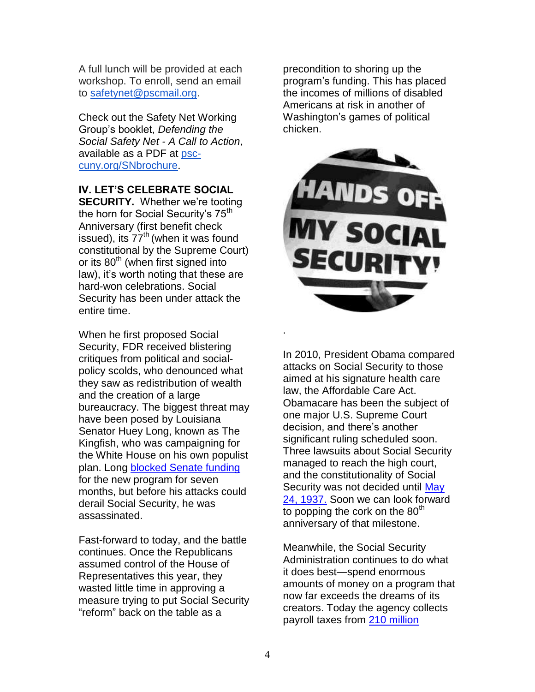A full lunch will be provided at each workshop. To enroll, send an email to [safetynet@pscmail.org.](mailto:safetynet@pscmail.org)

Check out the Safety Net Working Group's booklet, *Defending the Social Safety Net - A Call to Action*, available as a PDF at [psc](http://afl.salsalabs.com/dia/track.jsp?v=2&c=7GuR1DRDMJWwda%2FIk%2FiafY6TfZYPl8IC)[cuny.org/SNbrochure](http://afl.salsalabs.com/dia/track.jsp?v=2&c=7GuR1DRDMJWwda%2FIk%2FiafY6TfZYPl8IC).

**IV. LET'S CELEBRATE SOCIAL** 

**SECURITY.** Whether we're tooting the horn for Social Security's 75<sup>th</sup> Anniversary (first benefit check issued), its  $77<sup>th</sup>$  (when it was found constitutional by the Supreme Court) or its  $80<sup>th</sup>$  (when first signed into law), it's worth noting that these are hard-won celebrations. Social Security has been under attack the entire time.

When he first proposed Social Security, FDR received blistering critiques from political and socialpolicy scolds, who denounced what they saw as redistribution of wealth and the creation of a large bureaucracy. The biggest threat may have been posed by Louisiana Senator Huey Long, known as The Kingfish, who was campaigning for the White House on his own populist plan. Long [blocked Senate funding](http://billmoyers.com/content/deja-vu-all-over-a-look-back-at-some-of-the-tirades-against-social-security-and-medicare/) for the new program for seven months, but before his attacks could derail Social Security, he was assassinated.

Fast-forward to today, and the battle continues. Once the Republicans assumed control of the House of Representatives this year, they wasted little time in approving a measure trying to put Social Security "reform" back on the table as a

precondition to shoring up the program's funding. This has placed the incomes of millions of disabled Americans at risk in another of Washington's games of political chicken.



In 2010, President Obama compared attacks on Social Security to those aimed at his signature health care law, the Affordable Care Act. Obamacare has been the subject of one major U.S. Supreme Court decision, and there's another significant ruling scheduled soon. Three lawsuits about Social Security managed to reach the high court, and the constitutionality of Social Security was not decided until May [24, 1937.](http://socialsecurityinfo.areavoices.com/2012/05/24/may-24-1937-supreme-court-declares-social-security-act-constitutional/) Soon we can look forward to popping the cork on the  $80<sup>th</sup>$ anniversary of that milestone.

Meanwhile, the Social Security Administration continues to do what it does best—spend enormous amounts of money on a program that now far exceeds the dreams of its creators. Today the agency collects payroll taxes from [210 million](http://ssa.gov/oact/STATS/table4c1.html) 

.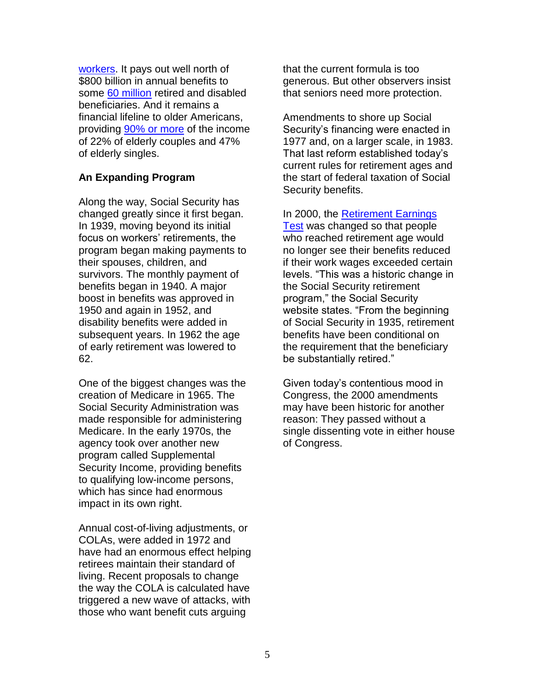[workers.](http://ssa.gov/oact/STATS/table4c1.html) It pays out well north of \$800 billion in annual benefits to some [60 million](http://ssa.gov/oact/STATS/OASDIbenies.html) retired and disabled beneficiaries. And it remains a financial lifeline to older Americans, providing [90% or more](http://www.socialsecurity.gov/news/press/basicfact.html) of the income of 22% of elderly couples and 47% of elderly singles.

## **An Expanding Program**

Along the way, Social Security has changed greatly since it first began. In 1939, moving beyond its initial focus on workers' retirements, the program began making payments to their spouses, children, and survivors. The monthly payment of benefits began in 1940. A major boost in benefits was approved in 1950 and again in 1952, and disability benefits were added in subsequent years. In 1962 the age of early retirement was lowered to 62.

One of the biggest changes was the creation of Medicare in 1965. The Social Security Administration was made responsible for administering Medicare. In the early 1970s, the agency took over another new program called Supplemental Security Income, providing benefits to qualifying low-income persons, which has since had enormous impact in its own right.

Annual cost-of-living adjustments, or COLAs, were added in 1972 and have had an enormous effect helping retirees maintain their standard of living. Recent proposals to change the way the COLA is calculated have triggered a new wave of attacks, with those who want benefit cuts arguing

that the current formula is too generous. But other observers insist that seniors need more protection.

Amendments to shore up Social Security's financing were enacted in 1977 and, on a larger scale, in 1983. That last reform established today's current rules for retirement ages and the start of federal taxation of Social Security benefits.

In 2000, the [Retirement Earnings](http://www.ssa.gov/oact/cola/rtea.html) 

[Test](http://www.ssa.gov/oact/cola/rtea.html) was changed so that people who reached retirement age would no longer see their benefits reduced if their work wages exceeded certain levels. "This was a historic change in the Social Security retirement program," the Social Security website states. "From the beginning of Social Security in 1935, retirement benefits have been conditional on the requirement that the beneficiary be substantially retired."

Given today's contentious mood in Congress, the 2000 amendments may have been historic for another reason: They passed without a single dissenting vote in either house of Congress.